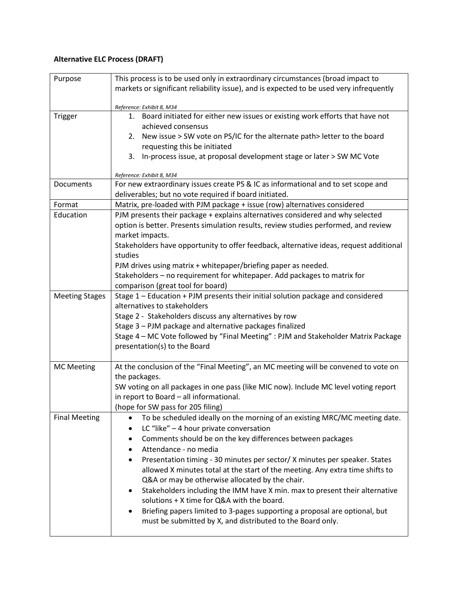## **Alternative ELC Process (DRAFT)**

| Purpose               | This process is to be used only in extraordinary circumstances (broad impact to<br>markets or significant reliability issue), and is expected to be used very infrequently |
|-----------------------|----------------------------------------------------------------------------------------------------------------------------------------------------------------------------|
|                       | Reference: Exhibit 8, M34                                                                                                                                                  |
| <b>Trigger</b>        | 1. Board initiated for either new issues or existing work efforts that have not<br>achieved consensus                                                                      |
|                       | 2. New issue > SW vote on PS/IC for the alternate path > letter to the board<br>requesting this be initiated                                                               |
|                       | 3. In-process issue, at proposal development stage or later > SW MC Vote                                                                                                   |
|                       | Reference: Exhibit 8, M34                                                                                                                                                  |
| Documents             | For new extraordinary issues create PS & IC as informational and to set scope and                                                                                          |
|                       | deliverables; but no vote required if board initiated.                                                                                                                     |
| Format                | Matrix, pre-loaded with PJM package + issue (row) alternatives considered                                                                                                  |
| Education             | PJM presents their package + explains alternatives considered and why selected                                                                                             |
|                       | option is better. Presents simulation results, review studies performed, and review                                                                                        |
|                       | market impacts.<br>Stakeholders have opportunity to offer feedback, alternative ideas, request additional                                                                  |
|                       | studies<br>PJM drives using matrix + whitepaper/briefing paper as needed.                                                                                                  |
|                       | Stakeholders - no requirement for whitepaper. Add packages to matrix for                                                                                                   |
|                       | comparison (great tool for board)                                                                                                                                          |
| <b>Meeting Stages</b> | Stage 1 - Education + PJM presents their initial solution package and considered                                                                                           |
|                       | alternatives to stakeholders                                                                                                                                               |
|                       | Stage 2 - Stakeholders discuss any alternatives by row                                                                                                                     |
|                       | Stage 3 - PJM package and alternative packages finalized                                                                                                                   |
|                       | Stage 4 - MC Vote followed by "Final Meeting" : PJM and Stakeholder Matrix Package                                                                                         |
|                       | presentation(s) to the Board                                                                                                                                               |
| <b>MC Meeting</b>     | At the conclusion of the "Final Meeting", an MC meeting will be convened to vote on                                                                                        |
|                       | the packages.                                                                                                                                                              |
|                       | SW voting on all packages in one pass (like MIC now). Include MC level voting report                                                                                       |
|                       | in report to Board - all informational.                                                                                                                                    |
|                       | (hope for SW pass for 205 filing)                                                                                                                                          |
| <b>Final Meeting</b>  | To be scheduled ideally on the morning of an existing MRC/MC meeting date.                                                                                                 |
|                       | LC "like" $-4$ hour private conversation                                                                                                                                   |
|                       | Comments should be on the key differences between packages<br>٠                                                                                                            |
|                       | Attendance - no media                                                                                                                                                      |
|                       | Presentation timing - 30 minutes per sector/ X minutes per speaker. States                                                                                                 |
|                       | allowed X minutes total at the start of the meeting. Any extra time shifts to                                                                                              |
|                       | Q&A or may be otherwise allocated by the chair.                                                                                                                            |
|                       | Stakeholders including the IMM have X min. max to present their alternative<br>٠                                                                                           |
|                       | solutions + X time for Q&A with the board.                                                                                                                                 |
|                       | Briefing papers limited to 3-pages supporting a proposal are optional, but                                                                                                 |
|                       | must be submitted by X, and distributed to the Board only.                                                                                                                 |
|                       |                                                                                                                                                                            |